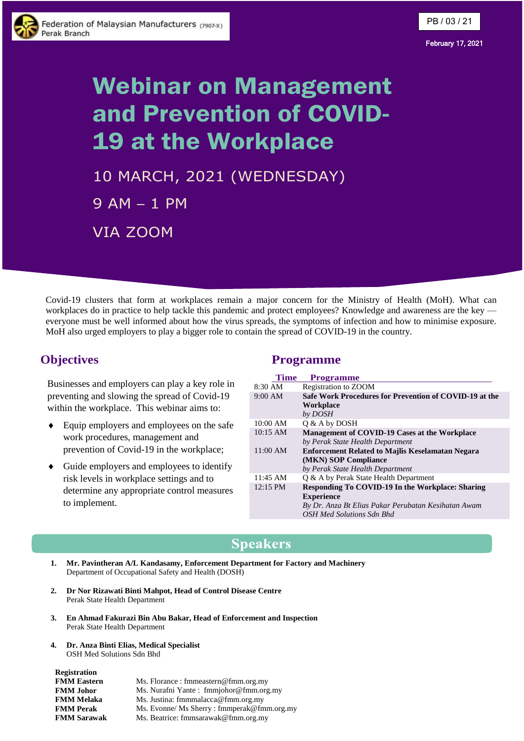

#### February 17, 2021

# Webinar on Management and Prevention of COVID-19 at the Workplace

10 MARCH, 2021 (WEDNESDAY) 9 AM – 1 PM VIA ZOOM

Covid-19 clusters that form at workplaces remain a major concern for the Ministry of Health (MoH). What can workplaces do in practice to help tackle this pandemic and protect employees? Knowledge and awareness are the key everyone must be well informed about how the virus spreads, the symptoms of infection and how to minimise exposure. MoH also urged employers to play a bigger role to contain the spread of COVID-19 in the country.

## **Objectives**

Businesses and employers can play a key role in preventing and slowing the spread of Covid-19 within the workplace. This webinar aims to:

- Equip employers and employees on the safe work procedures, management and prevention of Covid-19 in the workplace;
- Guide employers and employees to identify risk levels in workplace settings and to determine any appropriate control measures to implement.

## **Programme**

| Time       | <b>Programme</b>                                        |
|------------|---------------------------------------------------------|
| $8:30$ AM  | Registration to ZOOM                                    |
| 9:00 AM    | Safe Work Procedures for Prevention of COVID-19 at the  |
|            | Workplace                                               |
|            | by DOSH                                                 |
| 10:00 AM   | O & A by DOSH                                           |
| $10:15$ AM | Management of COVID-19 Cases at the Workplace           |
|            | by Perak State Health Department                        |
| 11:00 AM   | <b>Enforcement Related to Majlis Keselamatan Negara</b> |
|            | (MKN) SOP Compliance                                    |
|            | by Perak State Health Department                        |
| $11:45$ AM | Q & A by Perak State Health Department                  |
| $12:15$ PM | Responding To COVID-19 In the Workplace: Sharing        |
|            | <b>Experience</b>                                       |
|            | By Dr. Anza Bt Elias Pakar Perubatan Kesihatan Awam     |
|            | OSH Med Solutions Sdn Bhd                               |

## **Speakers**

- **1. Mr. Pavintheran A/L Kandasamy, Enforcement Department for Factory and Machinery**  Department of Occupational Safety and Health (DOSH)
- **2. Dr Nor Rizawati Binti Mahpot, Head of Control Disease Centre** Perak State Health Department
- **3. En Ahmad Fakurazi Bin Abu Bakar, Head of Enforcement and Inspection** Perak State Health Department
- **4. Dr. Anza Binti Elias, Medical Specialist** OSH Med Solutions Sdn Bhd

**Registration**

| <b>INUEBULATION</b> |                                            |  |
|---------------------|--------------------------------------------|--|
| <b>FMM Eastern</b>  | Ms. Florance: fmmeastern@fmm.org.my        |  |
| <b>FMM Johor</b>    | Ms. Nurafni Yante: fmmjohor@fmm.org.my     |  |
| <b>FMM Melaka</b>   | Ms. Justina: fmmmalacca@fmm.org.my         |  |
| <b>FMM Perak</b>    | Ms. Evonne/ Ms Sherry: fmmperak@fmm.org.my |  |
| <b>FMM Sarawak</b>  | Ms. Beatrice: fmmsarawak@fmm.org.my        |  |